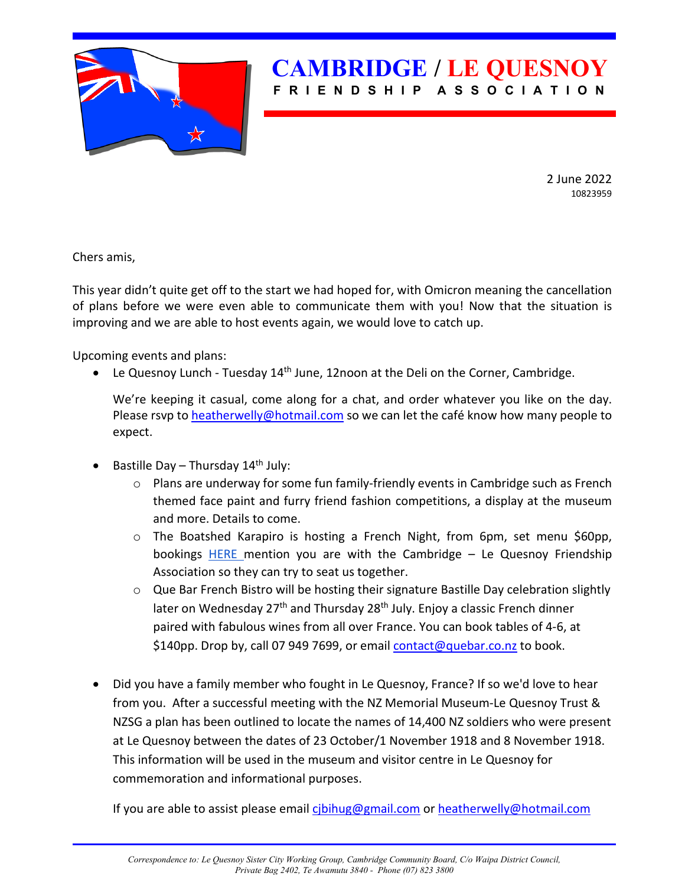

2 June 2022 10823959

Chers amis,

This year didn't quite get off to the start we had hoped for, with Omicron meaning the cancellation of plans before we were even able to communicate them with you! Now that the situation is improving and we are able to host events again, we would love to catch up.

Upcoming events and plans:

• Le Quesnoy Lunch - Tuesday  $14<sup>th</sup>$  June, 12noon at the Deli on the Corner, Cambridge.

We're keeping it casual, come along for a chat, and order whatever you like on the day. Please rsvp to [heatherwelly@hotmail.com](mailto:heatherwelly@hotmail.com) so we can let the café know how many people to expect.

- Bastille Day Thursday 14<sup>th</sup> July:
	- $\circ$  Plans are underway for some fun family-friendly events in Cambridge such as French themed face paint and furry friend fashion competitions, a display at the museum and more. Details to come.
	- $\circ$  The Boatshed Karapiro is hosting a French Night, from 6pm, set menu \$60pp, bookings [HERE](https://theboatshedkarapiro.co.nz/contact-us/) mention you are with the Cambridge  $-$  Le Quesnoy Friendship Association so they can try to seat us together.
	- o Que Bar French Bistro will be hosting their signature Bastille Day celebration slightly later on Wednesday 27<sup>th</sup> and Thursday 28<sup>th</sup> July. Enjoy a classic French dinner paired with fabulous wines from all over France. You can book tables of 4-6, at \$140pp. Drop by, call 07 949 7699, or emai[l contact@quebar.co.nz](mailto:contact@quebar.co.nz) to book.
- Did you have a family member who fought in Le Quesnoy, France? If so we'd love to hear from you. After a successful meeting with the NZ Memorial Museum-Le Quesnoy Trust & NZSG a plan has been outlined to locate the names of 14,400 NZ soldiers who were present at Le Quesnoy between the dates of 23 October/1 November 1918 and 8 November 1918. This information will be used in the museum and visitor centre in Le Quesnoy for commemoration and informational purposes.

If you are able to assist please email [cjbihug@gmail.com](mailto:cjbihug@gmail.com) or [heatherwelly@hotmail.com](mailto:heatherwelly@hotmail.com)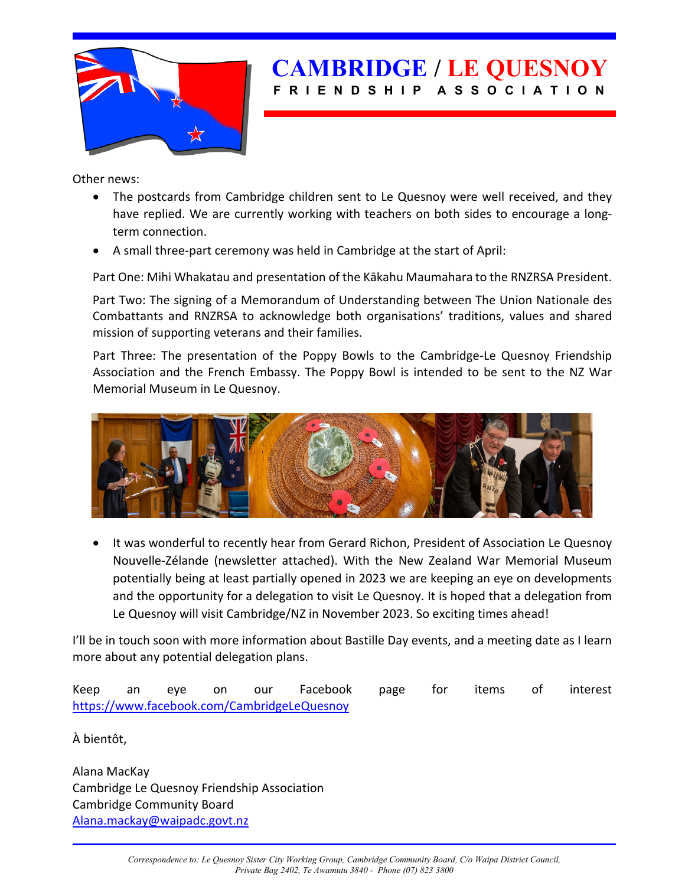

Other news:

- The postcards from Cambridge children sent to Le Quesnoy were well received, and they have replied. We are currently working with teachers on both sides to encourage a longterm connection.
- A small three-part ceremony was held in Cambridge at the start of April:

Part One: Mihi Whakatau and presentation of the Kākahu Maumahara to the RNZRSA President.

Part Two: The signing of a Memorandum of Understanding between The Union Nationale des Combattants and RNZRSA to acknowledge both organisations' traditions, values and shared mission of supporting veterans and their families.

Part Three: The presentation of the Poppy Bowls to the Cambridge-Le Quesnoy Friendship Association and the French Embassy. The Poppy Bowl is intended to be sent to the NZ War Memorial Museum in Le Quesnoy.



• It was wonderful to recently hear from Gerard Richon, President of Association Le Quesnoy Nouvelle-Zélande (newsletter attached). With the New Zealand War Memorial Museum potentially being at least partially opened in 2023 we are keeping an eye on developments and the opportunity for a delegation to visit Le Quesnoy. It is hoped that a delegation from Le Quesnoy will visit Cambridge/NZ in November 2023. So exciting times ahead!

I'll be in touch soon with more information about Bastille Day events, and a meeting date as I learn more about any potential delegation plans.

Keep an eye on our Facebook page for items of interest <https://www.facebook.com/CambridgeLeQuesnoy>

À bientôt,

Alana MacKay Cambridge Le Quesnoy Friendship Association Cambridge Community Board [Alana.mackay@waipadc.govt.nz](mailto:Alana.mackay@waipadc.govt.nz)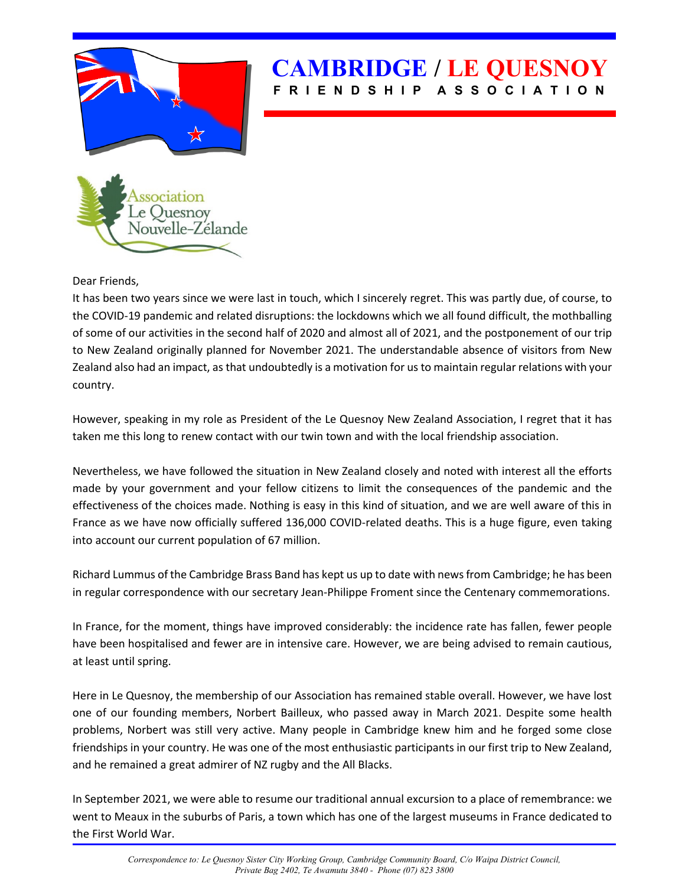

Dear Friends,

It has been two years since we were last in touch, which I sincerely regret. This was partly due, of course, to the COVID-19 pandemic and related disruptions: the lockdowns which we all found difficult, the mothballing of some of our activities in the second half of 2020 and almost all of 2021, and the postponement of our trip to New Zealand originally planned for November 2021. The understandable absence of visitors from New Zealand also had an impact, as that undoubtedly is a motivation for us to maintain regular relations with your country.

However, speaking in my role as President of the Le Quesnoy New Zealand Association, I regret that it has taken me this long to renew contact with our twin town and with the local friendship association.

Nevertheless, we have followed the situation in New Zealand closely and noted with interest all the efforts made by your government and your fellow citizens to limit the consequences of the pandemic and the effectiveness of the choices made. Nothing is easy in this kind of situation, and we are well aware of this in France as we have now officially suffered 136,000 COVID-related deaths. This is a huge figure, even taking into account our current population of 67 million.

Richard Lummus of the Cambridge Brass Band has kept us up to date with news from Cambridge; he has been in regular correspondence with our secretary Jean-Philippe Froment since the Centenary commemorations.

In France, for the moment, things have improved considerably: the incidence rate has fallen, fewer people have been hospitalised and fewer are in intensive care. However, we are being advised to remain cautious, at least until spring.

Here in Le Quesnoy, the membership of our Association has remained stable overall. However, we have lost one of our founding members, Norbert Bailleux, who passed away in March 2021. Despite some health problems, Norbert was still very active. Many people in Cambridge knew him and he forged some close friendships in your country. He was one of the most enthusiastic participants in our first trip to New Zealand, and he remained a great admirer of NZ rugby and the All Blacks.

In September 2021, we were able to resume our traditional annual excursion to a place of remembrance: we went to Meaux in the suburbs of Paris, a town which has one of the largest museums in France dedicated to the First World War.